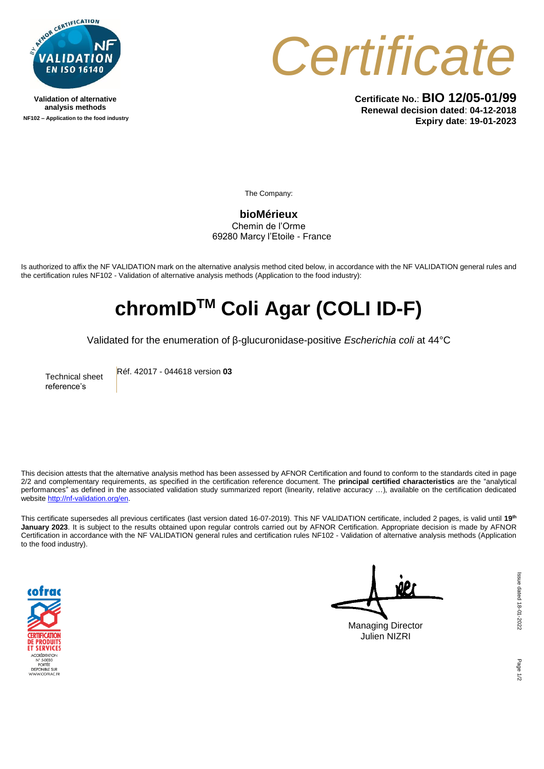

**Validation of alternative analysis methods NF102 – Application to the food industry**



**Certificate No.**: **BIO 12/05-01/99 Renewal decision dated**: **04-12-2018 Expiry date**: **19-01-2023**

The Company:

**bioMérieux** Chemin de l'Orme 69280 Marcy l'Etoile - France

Is authorized to affix the NF VALIDATION mark on the alternative analysis method cited below, in accordance with the NF VALIDATION general rules and the certification rules NF102 - Validation of alternative analysis methods (Application to the food industry):

## **chromIDTM Coli Agar (COLI ID-F)**

Validated for the enumeration of β-glucuronidase-positive *Escherichia coli* at 44°C

Technical sheet reference's

Réf. 42017 - 044618 version **03**

This decision attests that the alternative analysis method has been assessed by AFNOR Certification and found to conform to the standards cited in page 2/2 and complementary requirements, as specified in the certification reference document. The **principal certified characteristics** are the "analytical performances" as defined in the associated validation study summarized report (linearity, relative accuracy …), available on the certification dedicated websit[e http://nf-validation.org/en.](http://nf-validation.org/en)

This certificate supersedes all previous certificates (last version dated 16-07-2019). This NF VALIDATION certificate, included 2 pages, is valid until **19th January 2023**. It is subject to the results obtained upon regular controls carried out by AFNOR Certification. Appropriate decision is made by AFNOR Certification in accordance with the NF VALIDATION general rules and certification rules NF102 - Validation of alternative analysis methods (Application to the food industry).



Managing Director Julien NIZRI

ssue dated 18-01-2022 Issue dated 18-01-2022